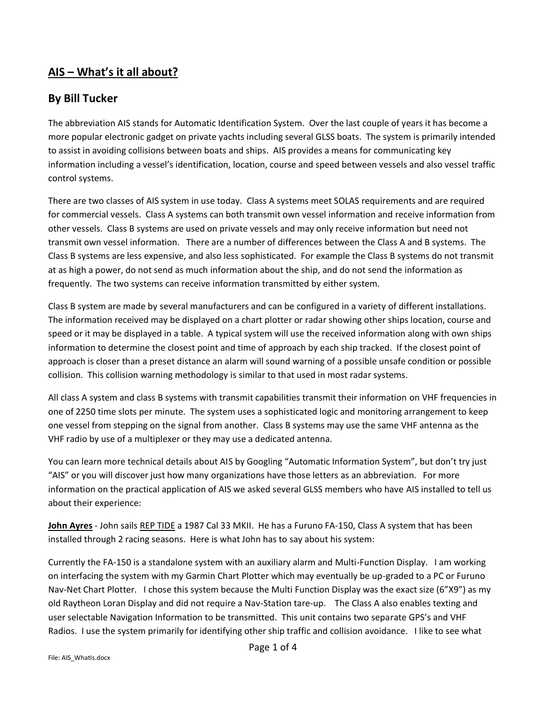## **AIS – What's it all about?**

## **By Bill Tucker**

The abbreviation AIS stands for Automatic Identification System. Over the last couple of years it has become a more popular electronic gadget on private yachts including several GLSS boats. The system is primarily intended to assist in avoiding collisions between boats and ships. AIS provides a means for communicating key information including a vessel's identification, location, course and speed between vessels and also vessel traffic control systems.

There are two classes of AIS system in use today. Class A systems meet SOLAS requirements and are required for commercial vessels. Class A systems can both transmit own vessel information and receive information from other vessels. Class B systems are used on private vessels and may only receive information but need not transmit own vessel information. There are a number of differences between the Class A and B systems. The Class B systems are less expensive, and also less sophisticated. For example the Class B systems do not transmit at as high a power, do not send as much information about the ship, and do not send the information as frequently. The two systems can receive information transmitted by either system.

Class B system are made by several manufacturers and can be configured in a variety of different installations. The information received may be displayed on a chart plotter or radar showing other ships location, course and speed or it may be displayed in a table. A typical system will use the received information along with own ships information to determine the closest point and time of approach by each ship tracked. If the closest point of approach is closer than a preset distance an alarm will sound warning of a possible unsafe condition or possible collision. This collision warning methodology is similar to that used in most radar systems.

All class A system and class B systems with transmit capabilities transmit their information on VHF frequencies in one of 2250 time slots per minute. The system uses a sophisticated logic and monitoring arrangement to keep one vessel from stepping on the signal from another. Class B systems may use the same VHF antenna as the VHF radio by use of a multiplexer or they may use a dedicated antenna.

You can learn more technical details about AIS by Googling "Automatic Information System", but don't try just "AIS" or you will discover just how many organizations have those letters as an abbreviation. For more information on the practical application of AIS we asked several GLSS members who have AIS installed to tell us about their experience:

**John Ayres** - John sails REP TIDE a 1987 Cal 33 MKII. He has a Furuno FA-150, Class A system that has been installed through 2 racing seasons. Here is what John has to say about his system:

Currently the FA-150 is a standalone system with an auxiliary alarm and Multi-Function Display. I am working on interfacing the system with my Garmin Chart Plotter which may eventually be up-graded to a PC or Furuno Nav-Net Chart Plotter. I chose this system because the Multi Function Display was the exact size (6"X9") as my old Raytheon Loran Display and did not require a Nav-Station tare-up. The Class A also enables texting and user selectable Navigation Information to be transmitted. This unit contains two separate GPS's and VHF Radios. I use the system primarily for identifying other ship traffic and collision avoidance. I like to see what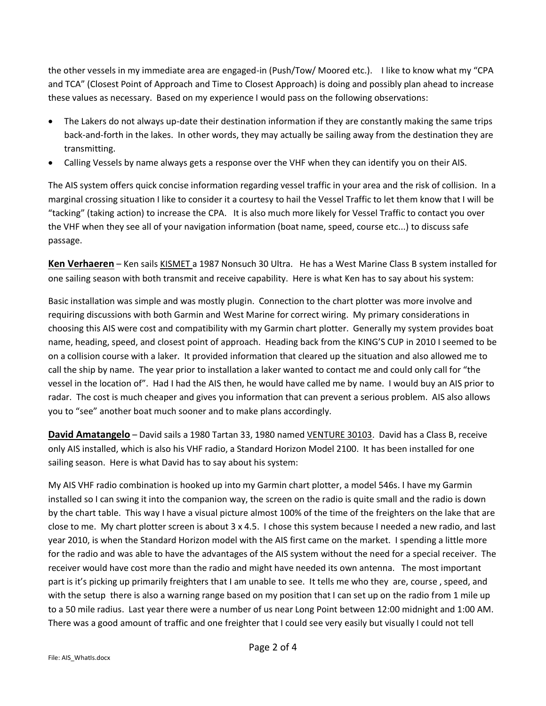the other vessels in my immediate area are engaged-in (Push/Tow/ Moored etc.). I like to know what my "CPA and TCA" (Closest Point of Approach and Time to Closest Approach) is doing and possibly plan ahead to increase these values as necessary. Based on my experience I would pass on the following observations:

- The Lakers do not always up-date their destination information if they are constantly making the same trips back-and-forth in the lakes. In other words, they may actually be sailing away from the destination they are transmitting.
- Calling Vessels by name always gets a response over the VHF when they can identify you on their AIS.

The AIS system offers quick concise information regarding vessel traffic in your area and the risk of collision. In a marginal crossing situation I like to consider it a courtesy to hail the Vessel Traffic to let them know that I will be "tacking" (taking action) to increase the CPA. It is also much more likely for Vessel Traffic to contact you over the VHF when they see all of your navigation information (boat name, speed, course etc...) to discuss safe passage.

**Ken Verhaeren** – Ken sails KISMET a 1987 Nonsuch 30 Ultra. He has a West Marine Class B system installed for one sailing season with both transmit and receive capability. Here is what Ken has to say about his system:

Basic installation was simple and was mostly plugin. Connection to the chart plotter was more involve and requiring discussions with both Garmin and West Marine for correct wiring. My primary considerations in choosing this AIS were cost and compatibility with my Garmin chart plotter. Generally my system provides boat name, heading, speed, and closest point of approach. Heading back from the KING'S CUP in 2010 I seemed to be on a collision course with a laker. It provided information that cleared up the situation and also allowed me to call the ship by name. The year prior to installation a laker wanted to contact me and could only call for "the vessel in the location of". Had I had the AIS then, he would have called me by name. I would buy an AIS prior to radar. The cost is much cheaper and gives you information that can prevent a serious problem. AIS also allows you to "see" another boat much sooner and to make plans accordingly.

**David Amatangelo** – David sails a 1980 Tartan 33, 1980 named VENTURE 30103. David has a Class B, receive only AIS installed, which is also his VHF radio, a Standard Horizon Model 2100. It has been installed for one sailing season. Here is what David has to say about his system:

My AIS VHF radio combination is hooked up into my Garmin chart plotter, a model 546s. I have my Garmin installed so I can swing it into the companion way, the screen on the radio is quite small and the radio is down by the chart table. This way I have a visual picture almost 100% of the time of the freighters on the lake that are close to me. My chart plotter screen is about 3 x 4.5. I chose this system because I needed a new radio, and last year 2010, is when the Standard Horizon model with the AIS first came on the market. I spending a little more for the radio and was able to have the advantages of the AIS system without the need for a special receiver. The receiver would have cost more than the radio and might have needed its own antenna. The most important part is it's picking up primarily freighters that I am unable to see. It tells me who they are, course , speed, and with the setup there is also a warning range based on my position that I can set up on the radio from 1 mile up to a 50 mile radius. Last year there were a number of us near Long Point between 12:00 midnight and 1:00 AM. There was a good amount of traffic and one freighter that I could see very easily but visually I could not tell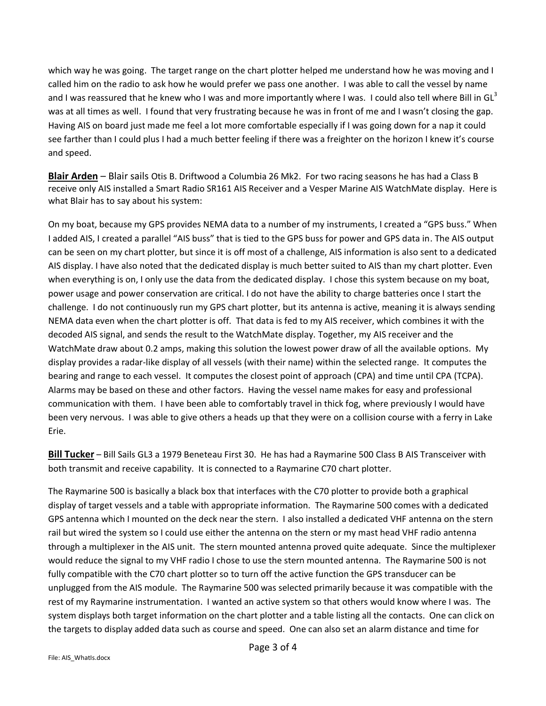which way he was going. The target range on the chart plotter helped me understand how he was moving and I called him on the radio to ask how he would prefer we pass one another. I was able to call the vessel by name and I was reassured that he knew who I was and more importantly where I was. I could also tell where Bill in GL<sup>3</sup> was at all times as well. I found that very frustrating because he was in front of me and I wasn't closing the gap. Having AIS on board just made me feel a lot more comfortable especially if I was going down for a nap it could see farther than I could plus I had a much better feeling if there was a freighter on the horizon I knew it's course and speed.

**Blair Arden** – Blair sails Otis B. Driftwood a Columbia 26 Mk2. For two racing seasons he has had a Class B receive only AIS installed a Smart Radio SR161 AIS Receiver and a Vesper Marine AIS WatchMate display. Here is what Blair has to say about his system:

On my boat, because my GPS provides NEMA data to a number of my instruments, I created a "GPS buss." When I added AIS, I created a parallel "AIS buss" that is tied to the GPS buss for power and GPS data in. The AIS output can be seen on my chart plotter, but since it is off most of a challenge, AIS information is also sent to a dedicated AIS display. I have also noted that the dedicated display is much better suited to AIS than my chart plotter. Even when everything is on, I only use the data from the dedicated display. I chose this system because on my boat, power usage and power conservation are critical. I do not have the ability to charge batteries once I start the challenge. I do not continuously run my GPS chart plotter, but its antenna is active, meaning it is always sending NEMA data even when the chart plotter is off. That data is fed to my AIS receiver, which combines it with the decoded AIS signal, and sends the result to the WatchMate display. Together, my AIS receiver and the WatchMate draw about 0.2 amps, making this solution the lowest power draw of all the available options. My display provides a radar-like display of all vessels (with their name) within the selected range. It computes the bearing and range to each vessel. It computes the closest point of approach (CPA) and time until CPA (TCPA). Alarms may be based on these and other factors. Having the vessel name makes for easy and professional communication with them. I have been able to comfortably travel in thick fog, where previously I would have been very nervous. I was able to give others a heads up that they were on a collision course with a ferry in Lake Erie.

**Bill Tucker** – Bill Sails GL3 a 1979 Beneteau First 30. He has had a Raymarine 500 Class B AIS Transceiver with both transmit and receive capability. It is connected to a Raymarine C70 chart plotter.

The Raymarine 500 is basically a black box that interfaces with the C70 plotter to provide both a graphical display of target vessels and a table with appropriate information. The Raymarine 500 comes with a dedicated GPS antenna which I mounted on the deck near the stern. I also installed a dedicated VHF antenna on the stern rail but wired the system so I could use either the antenna on the stern or my mast head VHF radio antenna through a multiplexer in the AIS unit. The stern mounted antenna proved quite adequate. Since the multiplexer would reduce the signal to my VHF radio I chose to use the stern mounted antenna. The Raymarine 500 is not fully compatible with the C70 chart plotter so to turn off the active function the GPS transducer can be unplugged from the AIS module. The Raymarine 500 was selected primarily because it was compatible with the rest of my Raymarine instrumentation. I wanted an active system so that others would know where I was. The system displays both target information on the chart plotter and a table listing all the contacts. One can click on the targets to display added data such as course and speed. One can also set an alarm distance and time for